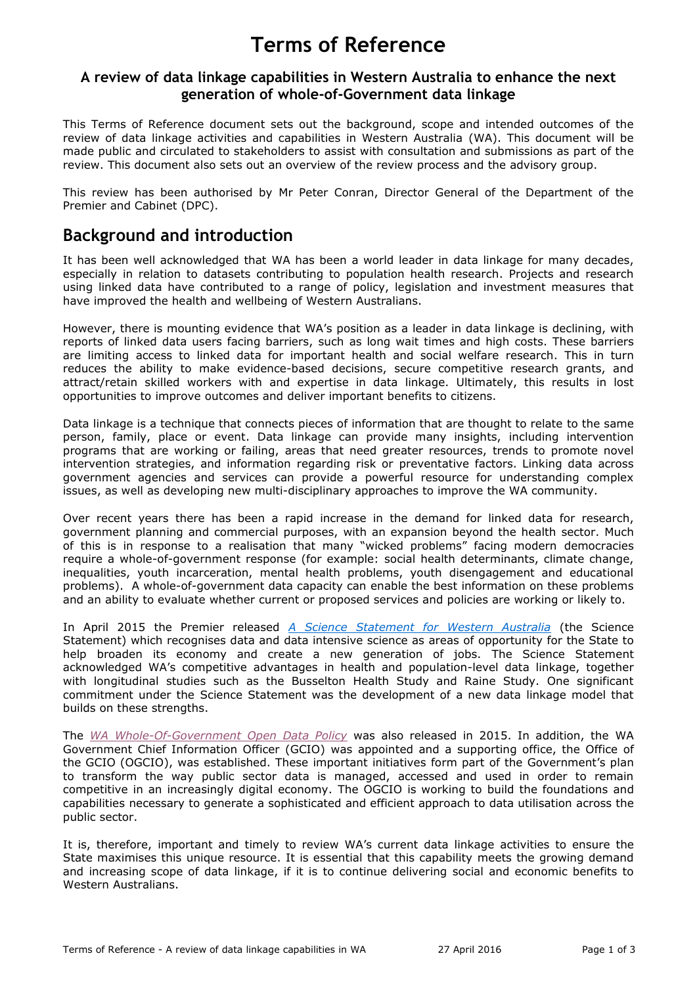# **Terms of Reference**

#### **A review of data linkage capabilities in Western Australia to enhance the next generation of whole-of-Government data linkage**

This Terms of Reference document sets out the background, scope and intended outcomes of the review of data linkage activities and capabilities in Western Australia (WA). This document will be made public and circulated to stakeholders to assist with consultation and submissions as part of the review. This document also sets out an overview of the review process and the advisory group.

This review has been authorised by Mr Peter Conran, Director General of the Department of the Premier and Cabinet (DPC).

## **Background and introduction**

It has been well acknowledged that WA has been a world leader in data linkage for many decades, especially in relation to datasets contributing to population health research. Projects and research using linked data have contributed to a range of policy, legislation and investment measures that have improved the health and wellbeing of Western Australians.

However, there is mounting evidence that WA's position as a leader in data linkage is declining, with reports of linked data users facing barriers, such as long wait times and high costs. These barriers are limiting access to linked data for important health and social welfare research. This in turn reduces the ability to make evidence-based decisions, secure competitive research grants, and attract/retain skilled workers with and expertise in data linkage. Ultimately, this results in lost opportunities to improve outcomes and deliver important benefits to citizens.

Data linkage is a technique that connects pieces of information that are thought to relate to the same person, family, place or event. Data linkage can provide many insights, including intervention programs that are working or failing, areas that need greater resources, trends to promote novel intervention strategies, and information regarding risk or preventative factors. Linking data across government agencies and services can provide a powerful resource for understanding complex issues, as well as developing new multi-disciplinary approaches to improve the WA community.

Over recent years there has been a rapid increase in the demand for linked data for research, government planning and commercial purposes, with an expansion beyond the health sector. Much of this is in response to a realisation that many "wicked problems" facing modern democracies require a whole-of-government response (for example: social health determinants, climate change, inequalities, youth incarceration, mental health problems, youth disengagement and educational problems). A whole-of-government data capacity can enable the best information on these problems and an ability to evaluate whether current or proposed services and policies are working or likely to.

In April 2015 the Premier released *[A Science Statement for Western Australia](https://www.dpc.wa.gov.au/science/ScienceStatement/Pages/default.aspx)* (the Science Statement) which recognises data and data intensive science as areas of opportunity for the State to help broaden its economy and create a new generation of jobs. The Science Statement acknowledged WA's competitive advantages in health and population-level data linkage, together with longitudinal studies such as the Busselton Health Study and Raine Study. One significant commitment under the Science Statement was the development of a new data linkage model that builds on these strengths.

The *WA [Whole-Of-Government Open Data Policy](http://gcio.wa.gov.au/2015/07/03/open-data-policy/)* was also released in 2015. In addition, the WA Government Chief Information Officer (GCIO) was appointed and a supporting office, the Office of the GCIO (OGCIO), was established. These important initiatives form part of the Government's plan to transform the way public sector data is managed, accessed and used in order to remain competitive in an increasingly digital economy. The OGCIO is working to build the foundations and capabilities necessary to generate a sophisticated and efficient approach to data utilisation across the public sector.

It is, therefore, important and timely to review WA's current data linkage activities to ensure the State maximises this unique resource. It is essential that this capability meets the growing demand and increasing scope of data linkage, if it is to continue delivering social and economic benefits to Western Australians.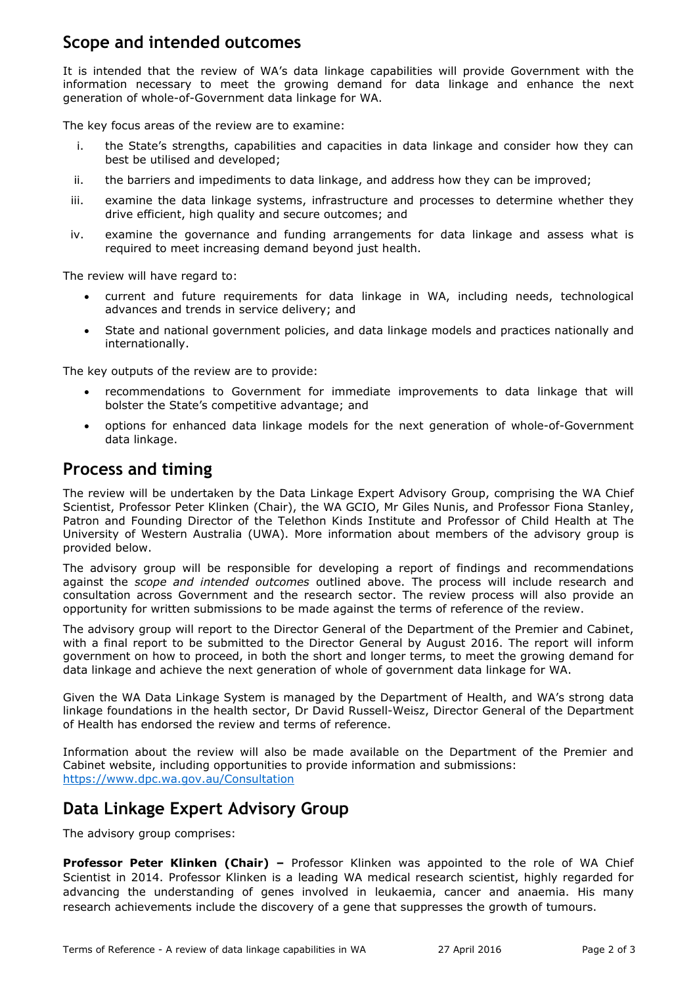# **Scope and intended outcomes**

It is intended that the review of WA's data linkage capabilities will provide Government with the information necessary to meet the growing demand for data linkage and enhance the next generation of whole-of-Government data linkage for WA.

The key focus areas of the review are to examine:

- i. the State's strengths, capabilities and capacities in data linkage and consider how they can best be utilised and developed;
- ii. the barriers and impediments to data linkage, and address how they can be improved;
- iii. examine the data linkage systems, infrastructure and processes to determine whether they drive efficient, high quality and secure outcomes; and
- iv. examine the governance and funding arrangements for data linkage and assess what is required to meet increasing demand beyond just health.

The review will have regard to:

- current and future requirements for data linkage in WA, including needs, technological advances and trends in service delivery; and
- State and national government policies, and data linkage models and practices nationally and internationally.

The key outputs of the review are to provide:

- recommendations to Government for immediate improvements to data linkage that will bolster the State's competitive advantage; and
- options for enhanced data linkage models for the next generation of whole-of-Government data linkage.

### **Process and timing**

The review will be undertaken by the Data Linkage Expert Advisory Group, comprising the WA Chief Scientist, Professor Peter Klinken (Chair), the WA GCIO, Mr Giles Nunis, and Professor Fiona Stanley, Patron and Founding Director of the Telethon Kinds Institute and Professor of Child Health at The University of Western Australia (UWA). More information about members of the advisory group is provided below.

The advisory group will be responsible for developing a report of findings and recommendations against the *scope and intended outcomes* outlined above. The process will include research and consultation across Government and the research sector. The review process will also provide an opportunity for written submissions to be made against the terms of reference of the review.

The advisory group will report to the Director General of the Department of the Premier and Cabinet, with a final report to be submitted to the Director General by August 2016. The report will inform government on how to proceed, in both the short and longer terms, to meet the growing demand for data linkage and achieve the next generation of whole of government data linkage for WA.

Given the WA Data Linkage System is managed by the Department of Health, and WA's strong data linkage foundations in the health sector, Dr David Russell-Weisz, Director General of the Department of Health has endorsed the review and terms of reference.

Information about the review will also be made available on the Department of the Premier and Cabinet website, including opportunities to provide information and submissions: <https://www.dpc.wa.gov.au/Consultation>

# **Data Linkage Expert Advisory Group**

The advisory group comprises:

**Professor Peter Klinken (Chair) –** Professor Klinken was appointed to the role of WA Chief Scientist in 2014. Professor Klinken is a leading WA medical research scientist, highly regarded for advancing the understanding of genes involved in leukaemia, cancer and anaemia. His many research achievements include the discovery of a gene that suppresses the growth of tumours.